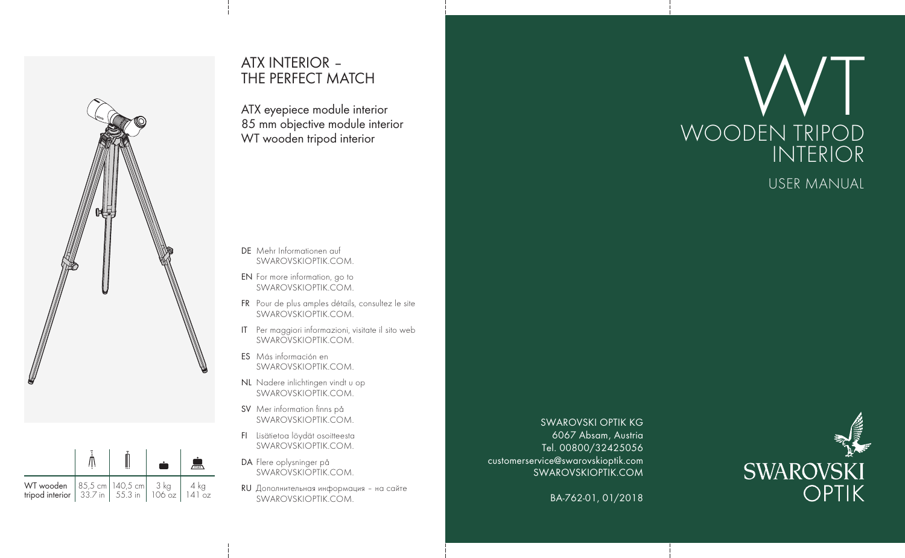

**WT wooden** 85,5 cm 140,5 cm 3 kg 4 kg

**tripod interior** 33.7 in 55.3 in 106 oz 141 oz

 $\frac{1}{3}$ kg

l U6 oz

 $\frac{3 \text{ kg}}{106 \text{ oz}}$   $\frac{4 \text{ kg}}{141 \text{ g}}$ 

 $\frac{1}{4}$ kg

4 | o

## ATX INTERIOR – THE PERFECT MATCH

ATX eyepiece module interior 85 mm objective module interior WT wooden tripod interior

- DE Mehr Informationen auf SWAROVSKIOPTIK.COM.
- EN For more information, go to SWAROVSKIOPTIK.COM.
- FR Pour de plus amples détails, consultez le site SWAROVSKIOPTIK.COM.
- IT Per maggiori informazioni, visitate il sito web SWAROVSKIOPTIK COM
- ES Más información en SWAROVSKIOPTIK.COM.
- NL Nadere inlichtingen vindt u op SWAROVSKIOPTIK.COM.
- SV Mer information finns på SWAROVSKIOPTIK.COM.
- FI Lisätietoa löydät osoitteesta SWAROVSKIOPTIK.COM.
- DA Flere oplysninger på SWAROVSKIOPTIK.COM.
- RU Дополнительная информация на сайте SWAROVSKIOPTIK.COM.

SWAROVSKI OPTIK KG 6067 Absam, Austria Tel. 00800/32425056 customerservice@swarovskioptik.com SWAROVSKIOPTIK.COM

BA-762-01, 01/2018



## USER MANUAL

INTERIOR

WT<sub>DIDOD</sub>

WOODEN TRIPOD